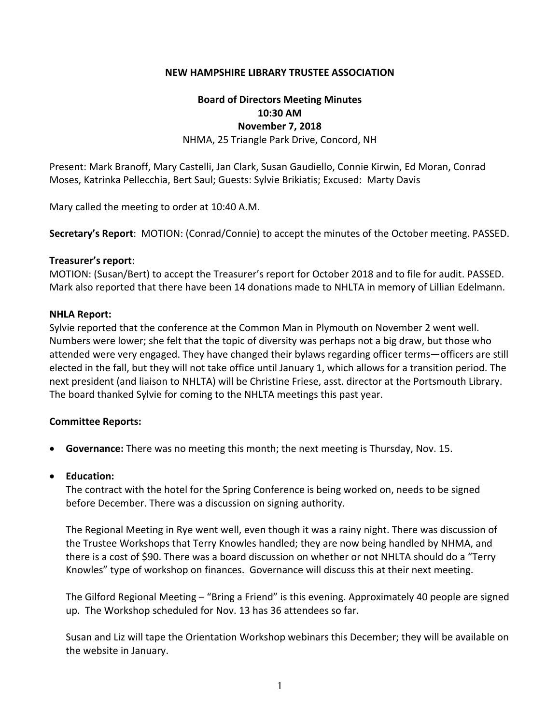### **NEW HAMPSHIRE LIBRARY TRUSTEE ASSOCIATION**

### **Board of Directors Meeting Minutes 10:30 AM November 7, 2018**

NHMA, 25 Triangle Park Drive, Concord, NH

Present: Mark Branoff, Mary Castelli, Jan Clark, Susan Gaudiello, Connie Kirwin, Ed Moran, Conrad Moses, Katrinka Pellecchia, Bert Saul; Guests: Sylvie Brikiatis; Excused: Marty Davis

Mary called the meeting to order at 10:40 A.M.

**Secretary's Report**: MOTION: (Conrad/Connie) to accept the minutes of the October meeting. PASSED.

#### **Treasurer's report**:

MOTION: (Susan/Bert) to accept the Treasurer's report for October 2018 and to file for audit. PASSED. Mark also reported that there have been 14 donations made to NHLTA in memory of Lillian Edelmann.

#### **NHLA Report:**

Sylvie reported that the conference at the Common Man in Plymouth on November 2 went well. Numbers were lower; she felt that the topic of diversity was perhaps not a big draw, but those who attended were very engaged. They have changed their bylaws regarding officer terms—officers are still elected in the fall, but they will not take office until January 1, which allows for a transition period. The next president (and liaison to NHLTA) will be Christine Friese, asst. director at the Portsmouth Library. The board thanked Sylvie for coming to the NHLTA meetings this past year.

### **Committee Reports:**

- **Governance:** There was no meeting this month; the next meeting is Thursday, Nov. 15.
- **Education:**

The contract with the hotel for the Spring Conference is being worked on, needs to be signed before December. There was a discussion on signing authority.

The Regional Meeting in Rye went well, even though it was a rainy night. There was discussion of the Trustee Workshops that Terry Knowles handled; they are now being handled by NHMA, and there is a cost of \$90. There was a board discussion on whether or not NHLTA should do a "Terry Knowles" type of workshop on finances. Governance will discuss this at their next meeting.

The Gilford Regional Meeting – "Bring a Friend" is this evening. Approximately 40 people are signed up. The Workshop scheduled for Nov. 13 has 36 attendees so far.

Susan and Liz will tape the Orientation Workshop webinars this December; they will be available on the website in January.